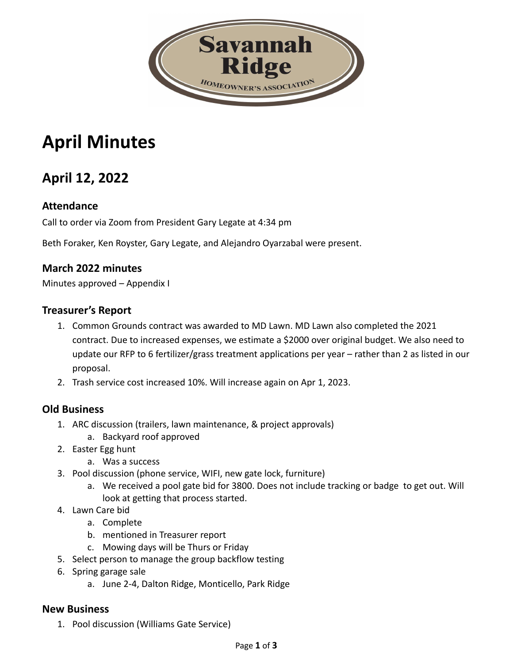

# **April Minutes**

## **April 12, 2022**

#### **Attendance**

Call to order via Zoom from President Gary Legate at 4:34 pm

Beth Foraker, Ken Royster, Gary Legate, and Alejandro Oyarzabal were present.

#### **March 2022 minutes**

Minutes approved – Appendix I

#### **Treasurer's Report**

- 1. Common Grounds contract was awarded to MD Lawn. MD Lawn also completed the 2021 contract. Due to increased expenses, we estimate a \$2000 over original budget. We also need to update our RFP to 6 fertilizer/grass treatment applications per year – rather than 2 as listed in our proposal.
- 2. Trash service cost increased 10%. Will increase again on Apr 1, 2023.

#### **Old Business**

- 1. ARC discussion (trailers, lawn maintenance, & project approvals)
	- a. Backyard roof approved
- 2. Easter Egg hunt
	- a. Was a success
- 3. Pool discussion (phone service, WIFI, new gate lock, furniture)
	- a. We received a pool gate bid for 3800. Does not include tracking or badge to get out. Will look at getting that process started.
- 4. Lawn Care bid
	- a. Complete
	- b. mentioned in Treasurer report
	- c. Mowing days will be Thurs or Friday
- 5. Select person to manage the group backflow testing
- 6. Spring garage sale
	- a. June 2-4, Dalton Ridge, Monticello, Park Ridge

#### **New Business**

1. Pool discussion (Williams Gate Service)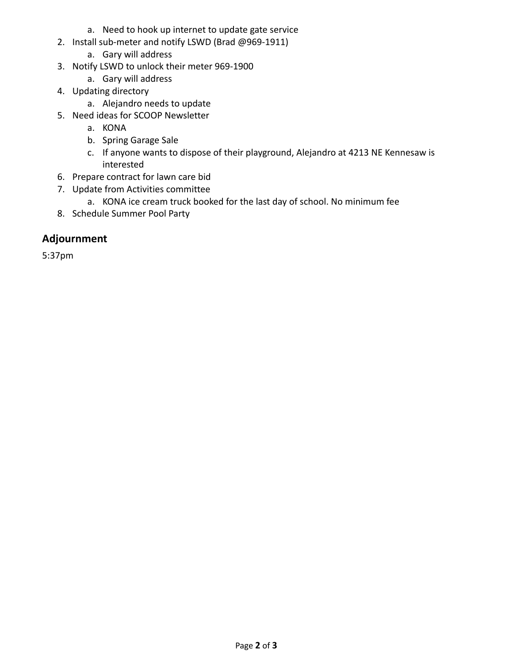- a. Need to hook up internet to update gate service
- 2. Install sub-meter and notify LSWD (Brad @969-1911)
	- a. Gary will address
- 3. Notify LSWD to unlock their meter 969-1900
	- a. Gary will address
- 4. Updating directory
	- a. Alejandro needs to update
- 5. Need ideas for SCOOP Newsletter
	- a. KONA
	- b. Spring Garage Sale
	- c. If anyone wants to dispose of their playground, Alejandro at 4213 NE Kennesaw is interested
- 6. Prepare contract for lawn care bid
- 7. Update from Activities committee
	- a. KONA ice cream truck booked for the last day of school. No minimum fee
- 8. Schedule Summer Pool Party

#### **Adjournment**

5:37pm